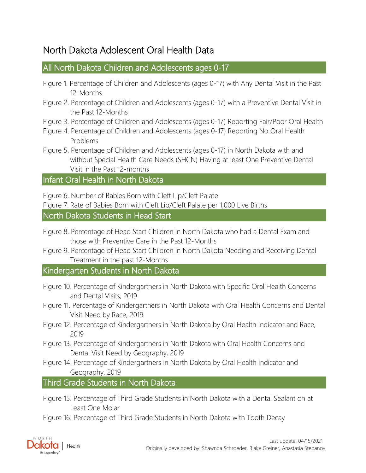## North Dakota Adolescent Oral Health Data

### [All North Dakota Children and Adolescents ages 0-17](#page-3-0)

- [Figure 1. Percentage of Children and Adolescents \(ages 0-17\) with Any Dental Visit in the Past](#page-3-1)  [12-Months](#page-3-1)
- [Figure 2. Percentage of Children and Adolescents \(ages 0-17\) with a Preventive Dental Visit in](#page-3-2)  [the Past 12-Months](#page-3-2)
- [Figure 3. Percentage of Children and Adolescents \(ages 0-17\) Reporting Fair/Poor Oral Health](#page-4-0)
- [Figure 4. Percentage of Children and Adolescents \(ages 0-17\) Reporting No Oral Health](#page-4-1)  [Problems](#page-4-1)
- [Figure 5. Percentage of Children and Adolescents \(ages 0-17\) in North Dakota with and](#page-5-0)  [without Special Health Care Needs \(SHCN\) Having at least One Preventive Dental](#page-5-0)  [Visit in the Past 12-months](#page-5-0)

### [Infant Oral Health in North Dakota](#page-6-0)

[Figure 6. Number of Babies Born with Cleft Lip/Cleft Palate](#page-6-1)

[Figure 7.](#page-6-2) [Rate of Babies Born with Cleft Lip/Cleft Palate per 1,000 Live Births](#page-6-2)

[North Dakota Students in Head Start](#page-7-0)

- [Figure 8. Percentage of Head Start Children in North Dakota who had a Dental Exam and](#page-7-1)  [those with Preventive Care in the Past 12-Months](#page-7-1)
- [Figure 9. Percentage of Head Start Children in North Dakota Needing and Receiving Dental](#page-7-2)  [Treatment in the past 12-Months](#page-7-2)

### [Kindergarten Students in North Dakota](#page-8-0)

- [Figure 10. Percentage of Kindergartners in North Dakota with Specific Oral Health Concerns](#page-8-1)  [and Dental Visits, 2019](#page-8-1)
- [Figure 11. Percentage of Kindergartners in North Dakota with Oral Health Concerns and Dental](#page-9-0)  [Visit Need by Race, 2019](#page-9-0)
- [Figure 12. Percentage of Kindergartners in North Dakota by Oral Health Indicator and Race,](#page-10-0)  [2019](#page-10-0)
- [Figure 13. Percentage of Kindergartners in North Dakota with Oral Health Concerns and](#page-11-0)  [Dental Visit Need by Geography, 2019](#page-11-0)
- [Figure 14. Percentage of Kindergartners in North Dakota by Oral Health Indicator and](#page-12-0)  [Geography, 2019](#page-12-0)

[Third Grade Students in North Dakota](#page-13-0)

- [Figure 15. Percentage of Third Grade Students in North Dakota with a Dental Sealant on at](#page-13-1)  [Least One Molar](#page-13-1)
- [Figure 16. Percentage of Third Grade Students in North Dakota with Tooth Decay](#page-13-2)

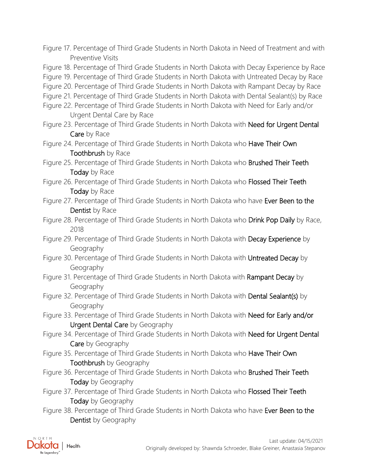[Figure 17. Percentage of Third Grade Students in North Dakota in Need of Treatment and with](#page-14-0)  [Preventive Visits](#page-14-0)

[Figure 18. Percentage of Third Grade Students in North Dakota with Decay Experience by Race](#page-14-1)

[Figure 19. Percentage of Third Grade Students in North Dakota with Untreated Decay by Race](#page-15-0)

[Figure 20. Percentage of Third Grade Students in North Dakota with Rampant Decay by Race](#page-15-1)

[Figure 21. Percentage of Third Grade Students in North Dakota with Dental Sealant\(s\) by Race](#page-16-0)

- [Figure 22. Percentage of Third Grade Students in North Dakota with Need for Early and/or](#page-16-1)  [Urgent Dental Care by Race](#page-16-1)
- Figure 23. Percentage of Third Grade Students in North Dakota with Need for Urgent Dental Care [by Race](#page-17-0)
- Figure 24. Percentage of Third Grade Students in North Dakota who **Have Their Own** [Toothbrush by Race](#page-17-1)

Figure 25. Percentage of Third Grade Students in North Dakota who **Brushed Their Teeth** [Today by Race](#page-18-0)

- Figure 26. Percentage of Third Grade Students in North Dakota who Flossed Their Teeth [Today by Race](#page-18-1)
- Figure 27. Percentage of Third Grade Students in North Dakota who have Ever Been to the [Dentist by Race](#page-19-0)
- Figure 28. Percentage of Third Grade Students in North Dakota who Drink Pop Daily by Race, [2018](#page-19-1)
- [Figure 29. Percentage of Third Grade Students in North Dakota with Decay Experience](#page-20-0) by [Geography](#page-20-0)
- [Figure 30. Percentage of Third Grade Students in North Dakota with Untreated Decay](#page-20-1) by [Geography](#page-20-1)
- [Figure 31. Percentage of Third Grade Students in North Dakota with Rampant Decay](#page-21-0) by [Geography](#page-21-0)
- Figure 32. Percentage of Third Grade Students in North Dakota with **Dental Sealant(s)** by [Geography](#page-21-1)
- Figure 33. Percentage of Third Grade Students in North Dakota with Need for Early and/or [Urgent Dental Care](#page-22-0) by Geography
- Figure 34. Percentage of Third Grade Students in North Dakota with Need for Urgent Dental Care [by Geography](#page-22-1)
- Figure 35. Percentage of Third Grade Students in North Dakota who Have Their Own [Toothbrush by Geography](#page-23-0)
- Figure 36. Percentage of Third Grade Students in North Dakota who **Brushed Their Teeth** [Today by Geography](#page-23-1)
- Figure 37. Percentage of Third Grade Students in North Dakota who Flossed Their Teeth [Today by Geography](#page-24-0)
- Figure 38. Percentage of Third Grade Students in North Dakota who have Ever Been to the [Dentist by Geography](#page-24-1)

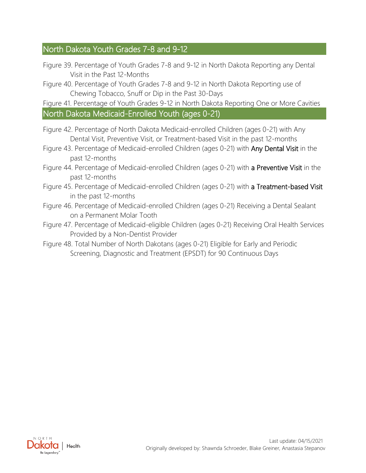## [North Dakota Youth Grades 7-8 and 9-12](#page-25-0)

- [Figure 39. Percentage of Youth Grades 7-8 and 9-12 in North Dakota Reporting any Dental](#page-25-1)  [Visit in the Past 12-Months](#page-25-1)
- [Figure 40. Percentage of Youth Grades 7-8 and 9-12 in North Dakota Reporting use of](#page-25-2)  [Chewing Tobacco, Snuff or Dip in the Past 30-Days](#page-25-2)

[Figure 41. Percentage of Youth Grades 9-12 in North Dakota Reporting One or More Cavities](#page-26-0) [North Dakota Medicaid-Enrolled Youth \(ages 0-21\)](#page-26-1)

- [Figure 42. Percentage of North Dakota Medicaid-enrolled Children \(ages 0-21\) with Any](#page-26-2)  [Dental Visit, Preventive Visit, or Treatment-based Visit in the past 12-months](#page-26-2)
- [Figure 43. Percentage of Medicaid-enrolled Children \(ages 0-21\) with Any Dental Visit](#page-27-0) in the [past 12-months](#page-27-0)
- [Figure 44. Percentage of Medicaid-enrolled Children \(ages 0-21\) with a Preventive Visit](#page-27-1) in the [past 12-months](#page-27-1)
- [Figure 45. Percentage of Medicaid-enrolled Children \(ages 0-21\) with a Treatment-based Visit](#page-28-0) [in the past 12-months](#page-28-0)
- [Figure 46. Percentage of Medicaid-enrolled Children \(ages 0-21\) Receiving a Dental Sealant](#page-28-1)  [on a Permanent Molar Tooth](#page-28-1)
- [Figure 47. Percentage of Medicaid-eligible Children \(ages 0-21\) Receiving Oral Health Services](#page-29-0)  [Provided by a Non-Dentist Provider](#page-29-0)
- [Figure 48. Total Number of North Dakotans \(ages 0-21\) Eligible for Early and Periodic](#page-29-1)  [Screening, Diagnostic and Treatment \(EPSDT\) for 90 Continuous Days](#page-29-1)

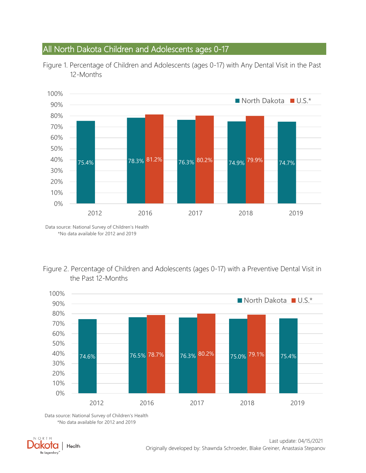## <span id="page-3-0"></span>All North Dakota Children and Adolescents ages 0-17



<span id="page-3-1"></span>Figure 1. Percentage of Children and Adolescents (ages 0-17) with Any Dental Visit in the Past 12-Months

Data source: National Survey of Children's Health \*No data available for 2012 and 2019

#### <span id="page-3-2"></span>Figure 2. Percentage of Children and Adolescents (ages 0-17) with a Preventive Dental Visit in the Past 12-Months



Data source: National Survey of Children's Health \*No data available for 2012 and 2019

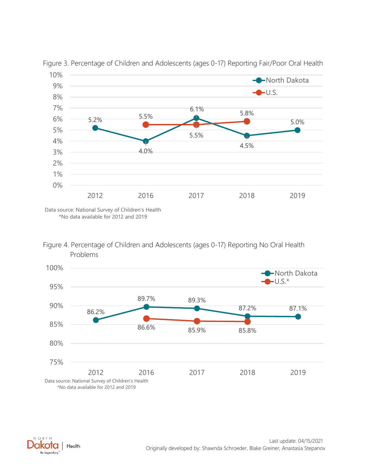

<span id="page-4-0"></span>Figure 3. Percentage of Children and Adolescents (ages 0-17) Reporting Fair/Poor Oral Health

Data source: National Survey of Children's Health \*No data available for 2012 and 2019

<span id="page-4-1"></span>



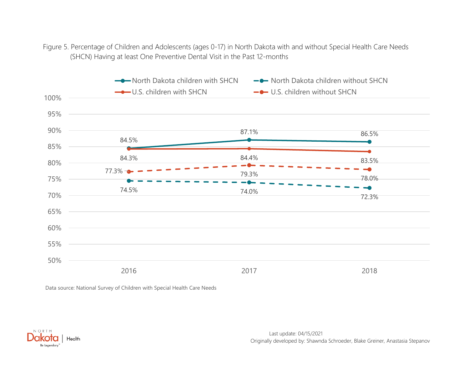Figure 5. Percentage of Children and Adolescents (ages 0-17) in North Dakota with and without Special Health Care Needs (SHCN) Having at least One Preventive Dental Visit in the Past 12-months

<span id="page-5-0"></span>

Data source: National Survey of Children with Special Health Care Needs

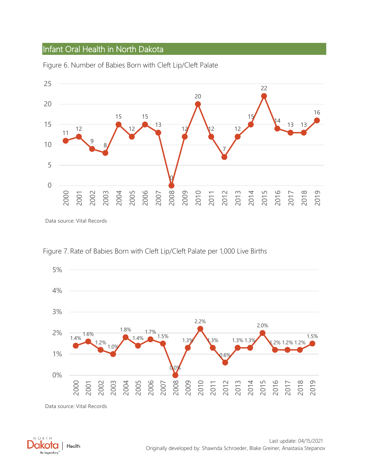## <span id="page-6-0"></span>Infant Oral Health in North Dakota



<span id="page-6-1"></span>Figure 6. Number of Babies Born with Cleft Lip/Cleft Palate

Data source: Vital Records



<span id="page-6-2"></span>Figure 7. Rate of Babies Born with Cleft Lip/Cleft Palate per 1,000 Live Births

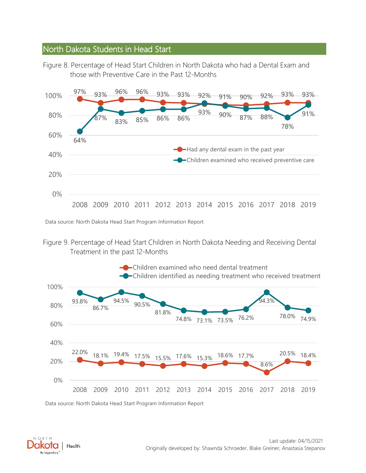### <span id="page-7-0"></span>North Dakota Students in Head Start

<span id="page-7-1"></span>Figure 8. Percentage of Head Start Children in North Dakota who had a Dental Exam and those with Preventive Care in the Past 12-Months



Data source: North Dakota Head Start Program Information Report

<span id="page-7-2"></span>



Data source: North Dakota Head Start Program Information Report

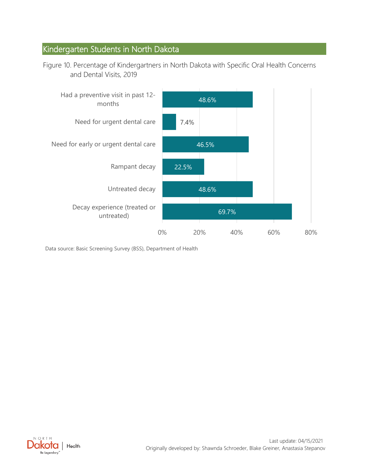## <span id="page-8-0"></span>Kindergarten Students in North Dakota

<span id="page-8-1"></span>Figure 10. Percentage of Kindergartners in North Dakota with Specific Oral Health Concerns and Dental Visits, 2019



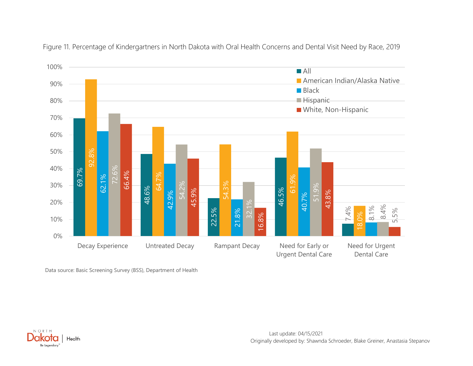<span id="page-9-0"></span>

Figure 11. Percentage of Kindergartners in North Dakota with Oral Health Concerns and Dental Visit Need by Race, 2019

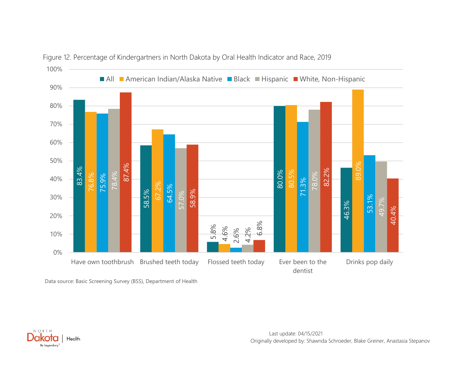<span id="page-10-0"></span>

Figure 12. Percentage of Kindergartners in North Dakota by Oral Health Indicator and Race, 2019

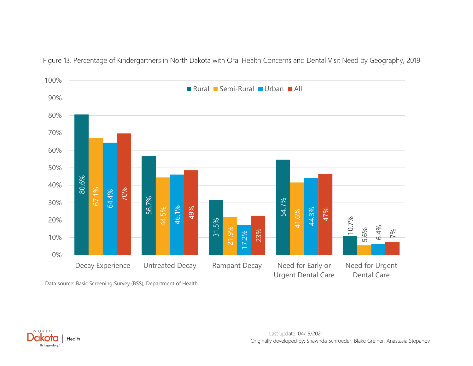<span id="page-11-0"></span>

Figure 13. Percentage of Kindergartners in North Dakota with Oral Health Concerns and Dental Visit Need by Geography, 2019

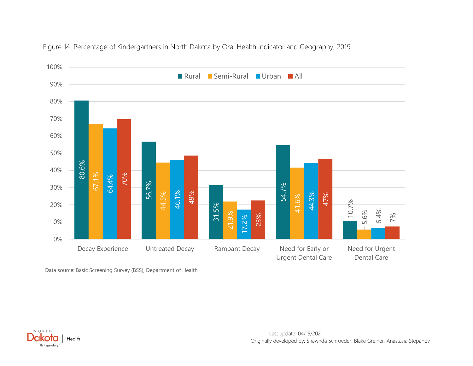<span id="page-12-0"></span>

Figure 14. Percentage of Kindergartners in North Dakota by Oral Health Indicator and Geography, 2019

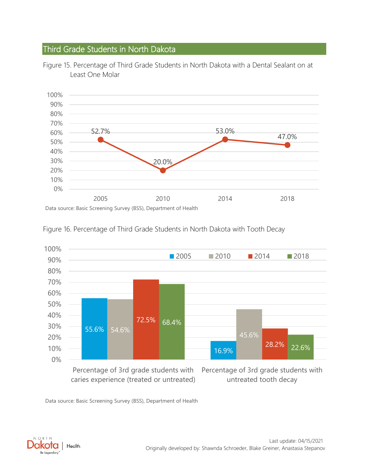## <span id="page-13-0"></span>Third Grade Students in North Dakota



<span id="page-13-1"></span>Figure 15. Percentage of Third Grade Students in North Dakota with a Dental Sealant on at Least One Molar



<span id="page-13-2"></span>Figure 16. Percentage of Third Grade Students in North Dakota with Tooth Decay

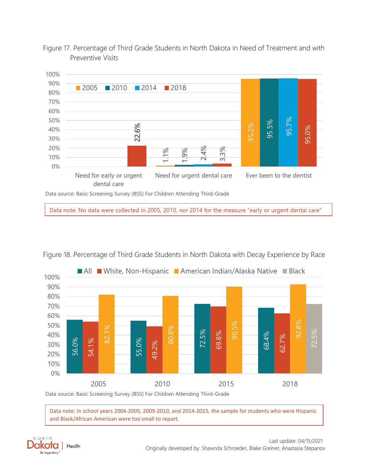<span id="page-14-0"></span>Figure 17. Percentage of Third Grade Students in North Dakota in Need of Treatment and with Preventive Visits



Data note: No data were collected in 2005, 2010, nor 2014 for the measure "early or urgent dental care"

<span id="page-14-1"></span>



Data source: Basic Screening Survey (BSS) For Children Attending Third-Grade

Data note: In school years 2004-2005, 2009-2010, and 2014-2015, the sample for students who were Hispanic and Black/African American were too small to report.

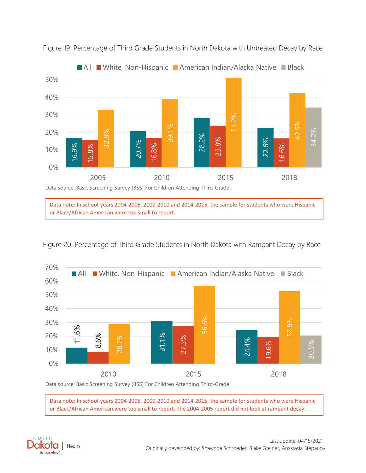

<span id="page-15-0"></span>Figure 19. Percentage of Third Grade Students in North Dakota with Untreated Decay by Race



<span id="page-15-1"></span>

Data note: In school-years 2004-2005, 2009-2010 and 2014-2015, the sample for students who were Hispanic



Data source: Basic Screening Survey (BSS) For Children Attending Third-Grade

or Black/African American were too small to report.

Data note: In school-years 2004-2005, 2009-2010 and 2014-2015, the sample for students who were Hispanic or Black/African American were too small to report. The 2004-2005 report did not look at rampant decay.

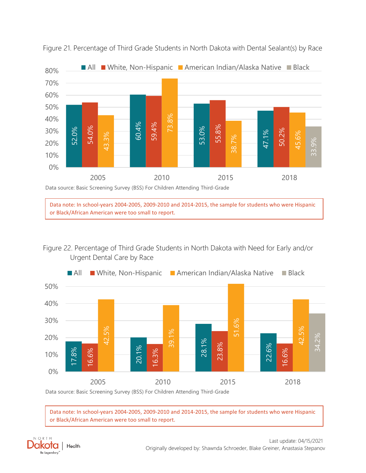

<span id="page-16-0"></span>Figure 21. Percentage of Third Grade Students in North Dakota with Dental Sealant(s) by Race

Data note: In school-years 2004-2005, 2009-2010 and 2014-2015, the sample for students who were Hispanic or Black/African American were too small to report.

# <span id="page-16-1"></span>Figure 22. Percentage of Third Grade Students in North Dakota with Need for Early and/or



Data source: Basic Screening Survey (BSS) For Children Attending Third-Grade

Data note: In school-years 2004-2005, 2009-2010 and 2014-2015, the sample for students who were Hispanic or Black/African American were too small to report.

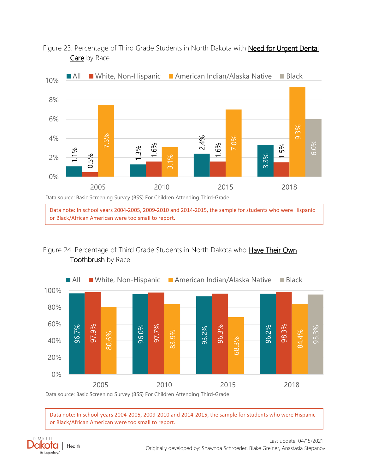<span id="page-17-0"></span>Figure 23. Percentage of Third Grade Students in North Dakota with Need for Urgent Dental Care by Race



Data note: In school years 2004-2005, 2009-2010 and 2014-2015, the sample for students who were Hispanic or Black/African American were too small to report.

# <span id="page-17-1"></span>Figure 24. Percentage of Third Grade Students in North Dakota who **Have Their Own**



Data note: In school-years 2004-2005, 2009-2010 and 2014-2015, the sample for students who were Hispanic or Black/African American were too small to report.

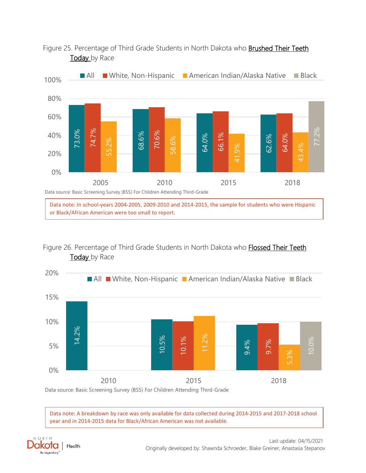<span id="page-18-0"></span>



# <span id="page-18-1"></span>Figure 26. Percentage of Third Grade Students in North Dakota who Flossed Their Teeth



Data note: A breakdown by race was only available for data collected during 2014-2015 and 2017-2018 school year and in 2014-2015 data for Black/African American was not available.

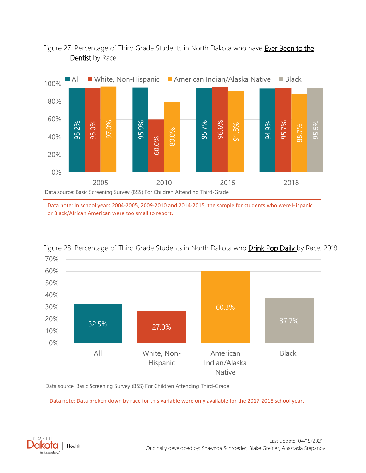

### <span id="page-19-0"></span>Figure 27. Percentage of Third Grade Students in North Dakota who have Ever Been to the Dentist by Race

or Black/African American were too small to report.



<span id="page-19-1"></span>

Data source: Basic Screening Survey (BSS) For Children Attending Third-Grade

Data note: Data broken down by race for this variable were only available for the 2017-2018 school year.

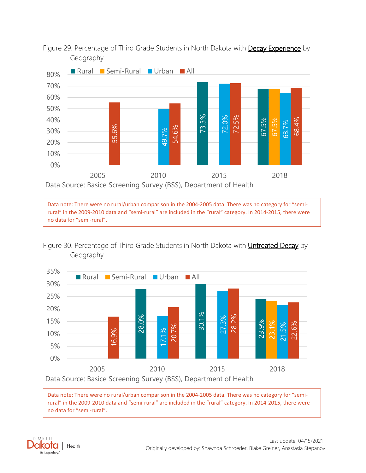

<span id="page-20-0"></span>Figure 29. Percentage of Third Grade Students in North Dakota with **Decay Experience** by Geography

Data note: There were no rural/urban comparison in the 2004-2005 data. There was no category for "semirural" in the 2009-2010 data and "semi-rural" are included in the "rural" category. In 2014-2015, there were no data for "semi-rural".

<span id="page-20-1"></span>Figure 30. Percentage of Third Grade Students in North Dakota with Untreated Decay by Geography



Data note: There were no rural/urban comparison in the 2004-2005 data. There was no category for "semirural" in the 2009-2010 data and "semi-rural" are included in the "rural" category. In 2014-2015, there were no data for "semi-rural".

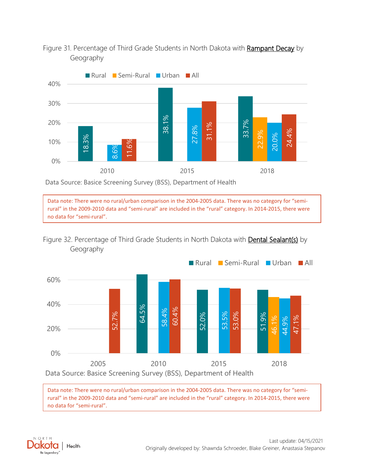

<span id="page-21-0"></span>Figure 31. Percentage of Third Grade Students in North Dakota with Rampant Decay by Geography

Data Source: Basice Screening Survey (BSS), Department of Health

Data note: There were no rural/urban comparison in the 2004-2005 data. There was no category for "semirural" in the 2009-2010 data and "semi-rural" are included in the "rural" category. In 2014-2015, there were no data for "semi-rural".

<span id="page-21-1"></span>



Data note: There were no rural/urban comparison in the 2004-2005 data. There was no category for "semirural" in the 2009-2010 data and "semi-rural" are included in the "rural" category. In 2014-2015, there were no data for "semi-rural".

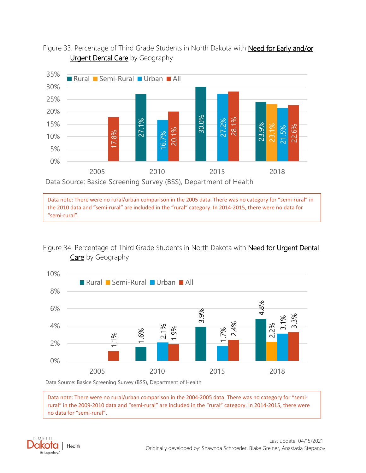<span id="page-22-0"></span>



Data note: There were no rural/urban comparison in the 2005 data. There was no category for "semi-rural" in the 2010 data and "semi-rural" are included in the "rural" category. In 2014-2015, there were no data for "semi-rural".

#### <span id="page-22-1"></span>Figure 34. Percentage of Third Grade Students in North Dakota with Need for Urgent Dental Care by Geography



Data Source: Basice Screening Survey (BSS), Department of Health

Data note: There were no rural/urban comparison in the 2004-2005 data. There was no category for "semirural" in the 2009-2010 data and "semi-rural" are included in the "rural" category. In 2014-2015, there were no data for "semi-rural".

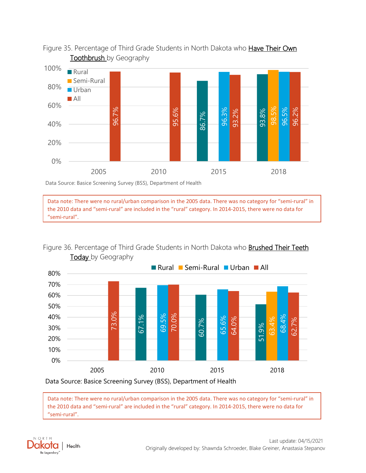

### <span id="page-23-0"></span>Figure 35. Percentage of Third Grade Students in North Dakota who Have Their Own **Toothbrush** by Geography

Data Source: Basice Screening Survey (BSS), Department of Health

Data note: There were no rural/urban comparison in the 2005 data. There was no category for "semi-rural" in the 2010 data and "semi-rural" are included in the "rural" category. In 2014-2015, there were no data for "semi-rural".

<span id="page-23-1"></span>Figure 36. Percentage of Third Grade Students in North Dakota who **Brushed Their Teeth** Today by Geography



Data Source: Basice Screening Survey (BSS), Department of Health

Data note: There were no rural/urban comparison in the 2005 data. There was no category for "semi-rural" in the 2010 data and "semi-rural" are included in the "rural" category. In 2014-2015, there were no data for "semi-rural".

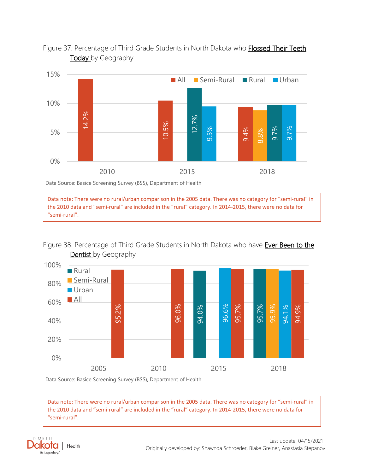<span id="page-24-0"></span>



Data Source: Basice Screening Survey (BSS), Department of Health

Data note: There were no rural/urban comparison in the 2005 data. There was no category for "semi-rural" in the 2010 data and "semi-rural" are included in the "rural" category. In 2014-2015, there were no data for "semi-rural".

# <span id="page-24-1"></span>Figure 38. Percentage of Third Grade Students in North Dakota who have Ever Been to the



Data Source: Basice Screening Survey (BSS), Department of Health

Data note: There were no rural/urban comparison in the 2005 data. There was no category for "semi-rural" in the 2010 data and "semi-rural" are included in the "rural" category. In 2014-2015, there were no data for "semi-rural".

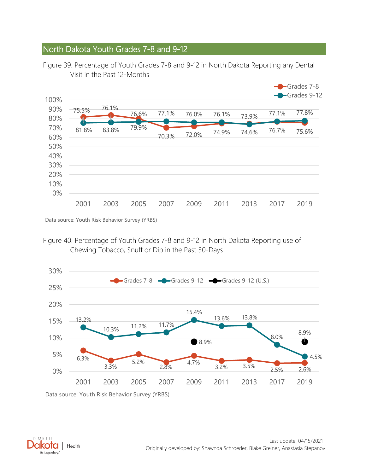## <span id="page-25-0"></span>North Dakota Youth Grades 7-8 and 9-12

<span id="page-25-1"></span>



Data source: Youth Risk Behavior Survey (YRBS)

<span id="page-25-2"></span>Figure 40. Percentage of Youth Grades 7-8 and 9-12 in North Dakota Reporting use of Chewing Tobacco, Snuff or Dip in the Past 30-Days



Data source: Youth Risk Behavior Survey (YRBS)

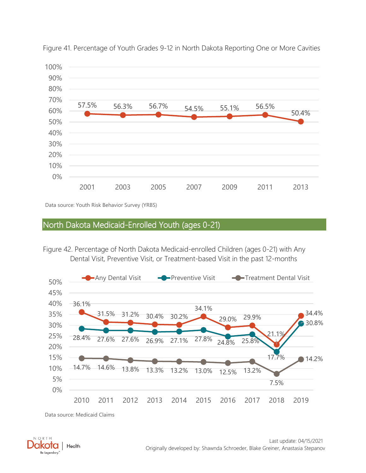

<span id="page-26-0"></span>Figure 41. Percentage of Youth Grades 9-12 in North Dakota Reporting One or More Cavities

Data source: Youth Risk Behavior Survey (YRBS)

#### <span id="page-26-1"></span>North Dakota Medicaid-Enrolled Youth (ages 0-21)

<span id="page-26-2"></span>Figure 42. Percentage of North Dakota Medicaid-enrolled Children (ages 0-21) with Any Dental Visit, Preventive Visit, or Treatment-based Visit in the past 12-months



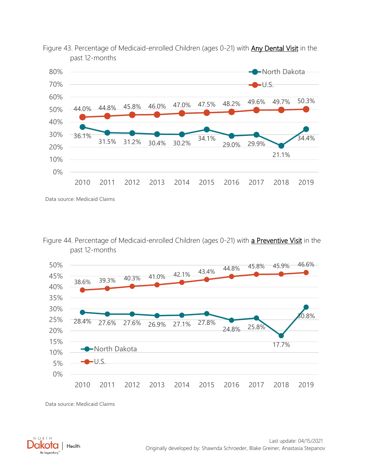

<span id="page-27-0"></span>Figure 43. Percentage of Medicaid-enrolled Children (ages 0-21) with **Any Dental Visit** in the past 12-months

Data source: Medicaid Claims

<span id="page-27-1"></span>Figure 44. Percentage of Medicaid-enrolled Children (ages 0-21) with a Preventive Visit in the past 12-months



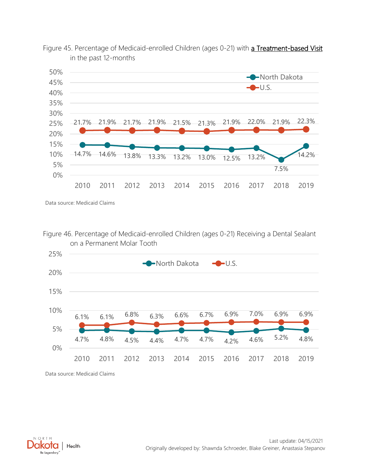

<span id="page-28-0"></span>

Data source: Medicaid Claims

<span id="page-28-1"></span>Figure 46. Percentage of Medicaid-enrolled Children (ages 0-21) Receiving a Dental Sealant on a Permanent Molar Tooth